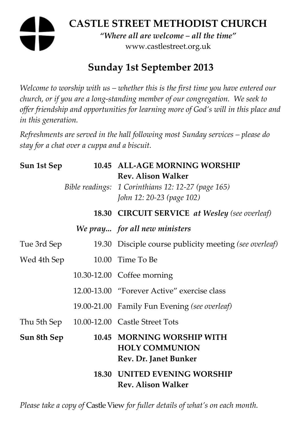# **CASTLE STREET METHODIST CHURCH**  *"Where all are welcome – all the time"*  www.castlestreet.org.uk

# **Sunday 1st September 2013**

*Welcome to worship with us – whether this is the first time you have entered our church, or if you are a long-standing member of our congregation. We seek to offer friendship and opportunities for learning more of God's will in this place and in this generation.* 

*Refreshments are served in the hall following most Sunday services – please do stay for a chat over a cuppa and a biscuit.* 

| Sun 1st Sep | 10.45 ALL-AGE MORNING WORSHIP<br><b>Rev. Alison Walker</b><br>Bible readings: 1 Corinthians 12: 12-27 (page 165)<br>John 12: 20-23 (page 102) |
|-------------|-----------------------------------------------------------------------------------------------------------------------------------------------|
|             | 18.30 CIRCUIT SERVICE at Wesley (see overleaf)                                                                                                |
|             | We pray for all new ministers                                                                                                                 |
| Tue 3rd Sep | 19.30 Disciple course publicity meeting (see overleaf)                                                                                        |
| Wed 4th Sep | 10.00 Time To Be                                                                                                                              |
|             | 10.30-12.00 Coffee morning                                                                                                                    |
|             | 12.00-13.00 "Forever Active" exercise class                                                                                                   |
|             | 19.00-21.00 Family Fun Evening (see overleaf)                                                                                                 |
|             | Thu 5th Sep 10.00-12.00 Castle Street Tots                                                                                                    |
| Sun 8th Sep | 10.45 MORNING WORSHIP WITH<br><b>HOLY COMMUNION</b><br>Rev. Dr. Janet Bunker                                                                  |
|             | <b>18.30 UNITED EVENING WORSHIP</b><br><b>Rev. Alison Walker</b>                                                                              |

*Please take a copy of* Castle View *for fuller details of what's on each month.*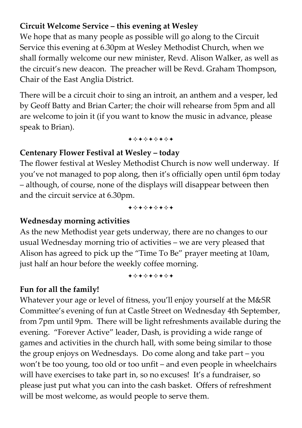## **Circuit Welcome Service – this evening at Wesley**

We hope that as many people as possible will go along to the Circuit Service this evening at 6.30pm at Wesley Methodist Church, when we shall formally welcome our new minister, Revd. Alison Walker, as well as the circuit's new deacon. The preacher will be Revd. Graham Thompson, Chair of the East Anglia District.

There will be a circuit choir to sing an introit, an anthem and a vesper, led by Geoff Batty and Brian Carter; the choir will rehearse from 5pm and all are welcome to join it (if you want to know the music in advance, please speak to Brian).

+\*\*\*\*\*\*\*

#### **Centenary Flower Festival at Wesley – today**

The flower festival at Wesley Methodist Church is now well underway. If you've not managed to pop along, then it's officially open until 6pm today – although, of course, none of the displays will disappear between then and the circuit service at 6.30pm.

+\*\*\*\*\*\*\*

#### **Wednesday morning activities**

As the new Methodist year gets underway, there are no changes to our usual Wednesday morning trio of activities – we are very pleased that Alison has agreed to pick up the "Time To Be" prayer meeting at 10am, just half an hour before the weekly coffee morning.

+\*\*\*\*\*\*\*

# **Fun for all the family!**

Whatever your age or level of fitness, you'll enjoy yourself at the M&SR Committee's evening of fun at Castle Street on Wednesday 4th September, from 7pm until 9pm. There will be light refreshments available during the evening. "Forever Active" leader, Dash, is providing a wide range of games and activities in the church hall, with some being similar to those the group enjoys on Wednesdays. Do come along and take part – you won't be too young, too old or too unfit – and even people in wheelchairs will have exercises to take part in, so no excuses! It's a fundraiser, so please just put what you can into the cash basket. Offers of refreshment will be most welcome, as would people to serve them.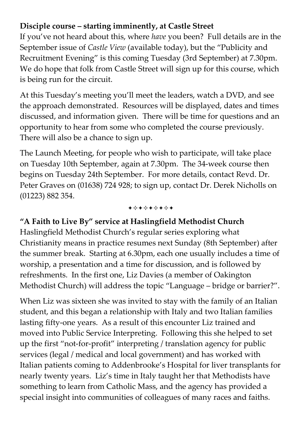### **Disciple course – starting imminently, at Castle Street**

If you've not heard about this, where *have* you been? Full details are in the September issue of *Castle View* (available today), but the "Publicity and Recruitment Evening" is this coming Tuesday (3rd September) at 7.30pm. We do hope that folk from Castle Street will sign up for this course, which is being run for the circuit.

At this Tuesday's meeting you'll meet the leaders, watch a DVD, and see the approach demonstrated. Resources will be displayed, dates and times discussed, and information given. There will be time for questions and an opportunity to hear from some who completed the course previously. There will also be a chance to sign up.

The Launch Meeting, for people who wish to participate, will take place on Tuesday 10th September, again at 7.30pm. The 34-week course then begins on Tuesday 24th September. For more details, contact Revd. Dr. Peter Graves on (01638) 724 928; to sign up, contact Dr. Derek Nicholls on (01223) 882 354.

+\*\*\*\*\*\*\*

# **"A Faith to Live By" service at Haslingfield Methodist Church**

Haslingfield Methodist Church's regular series exploring what Christianity means in practice resumes next Sunday (8th September) after the summer break. Starting at 6.30pm, each one usually includes a time of worship, a presentation and a time for discussion, and is followed by refreshments. In the first one, Liz Davies (a member of Oakington Methodist Church) will address the topic "Language – bridge or barrier?".

When Liz was sixteen she was invited to stay with the family of an Italian student, and this began a relationship with Italy and two Italian families lasting fifty-one years. As a result of this encounter Liz trained and moved into Public Service Interpreting. Following this she helped to set up the first "not-for-profit" interpreting / translation agency for public services (legal / medical and local government) and has worked with Italian patients coming to Addenbrooke's Hospital for liver transplants for nearly twenty years. Liz's time in Italy taught her that Methodists have something to learn from Catholic Mass, and the agency has provided a special insight into communities of colleagues of many races and faiths.